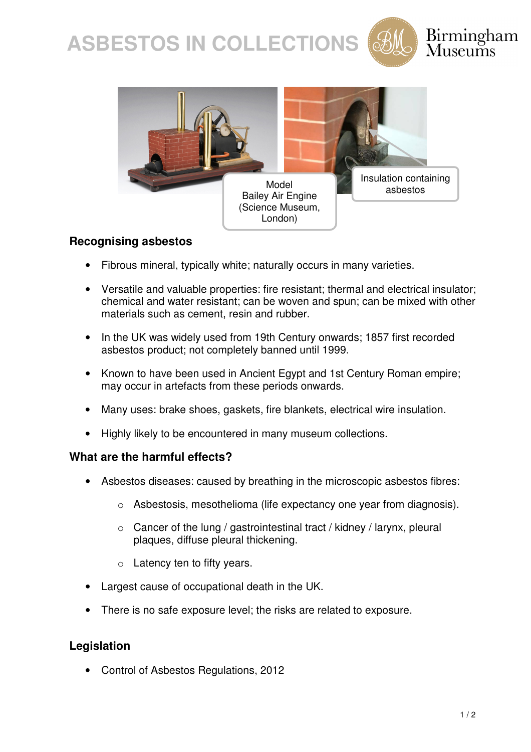



### Birmingham  $\rm{M}$ useums



#### **Recognising asbestos**

- Fibrous mineral, typically white; naturally occurs in many varieties.
- Versatile and valuable properties: fire resistant; thermal and electrical insulator; chemical and water resistant; can be woven and spun; can be mixed with other materials such as cement, resin and rubber.
- In the UK was widely used from 19th Century onwards; 1857 first recorded asbestos product; not completely banned until 1999.
- Known to have been used in Ancient Egypt and 1st Century Roman empire; may occur in artefacts from these periods onwards.
- Many uses: brake shoes, gaskets, fire blankets, electrical wire insulation.
- Highly likely to be encountered in many museum collections.

#### **What are the harmful effects?**

- Asbestos diseases: caused by breathing in the microscopic asbestos fibres:
	- o Asbestosis, mesothelioma (life expectancy one year from diagnosis).
	- o Cancer of the lung / gastrointestinal tract / kidney / larynx, pleural plaques, diffuse pleural thickening.
	- $\circ$  Latency ten to fifty years.
- Largest cause of occupational death in the UK.
- There is no safe exposure level; the risks are related to exposure.

#### **Legislation**

• Control of Asbestos Regulations, 2012